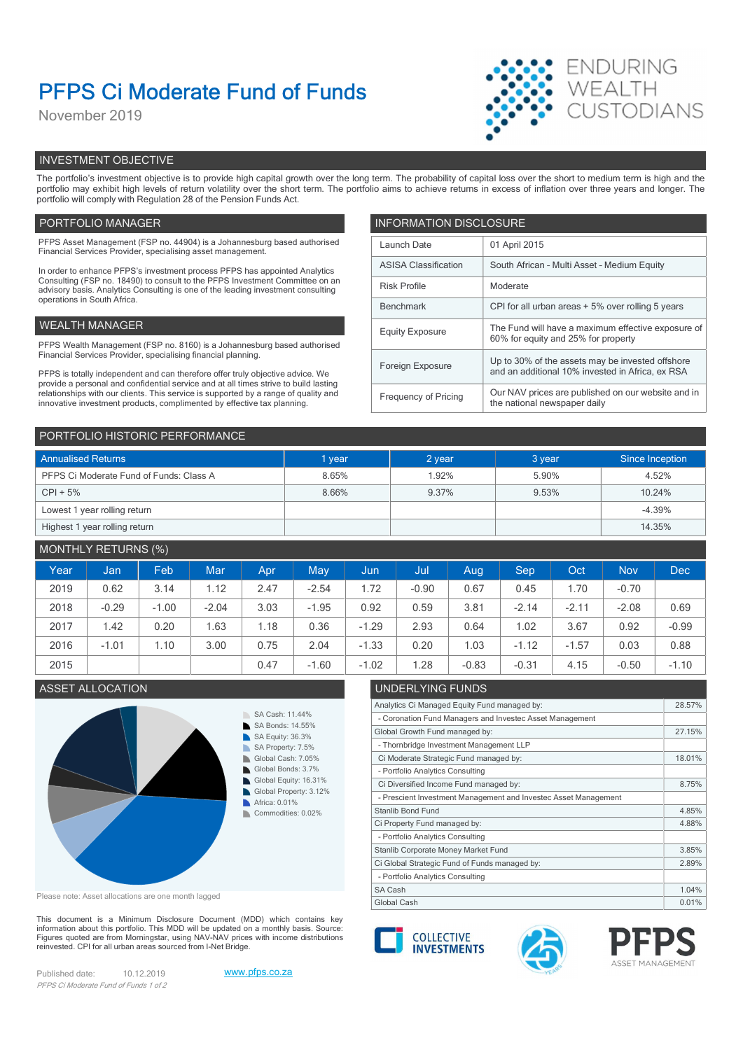# PFPS Ci Moderate Fund of Funds

November 2019



# INVESTMENT OBJECTIVE

The portfolio's investment objective is to provide high capital growth over the long term. The probability of capital loss over the short to medium term is high and the portfolio may exhibit high levels of return volatility over the short term. The portfolio aims to achieve returns in excess of inflation over three years and longer. The portfolio will comply with Regulation 28 of the Pension Funds Act.

# PORTFOLIO MANAGER **INFORMATION DISCLOSURE**

| PFPS Asset Management (FSP no. 44904) is a Johannesburg based authorised<br>Financial Services Provider, specialising asset management.                                | Launch Date                 | 01 April 2015                                                                             |  |
|------------------------------------------------------------------------------------------------------------------------------------------------------------------------|-----------------------------|-------------------------------------------------------------------------------------------|--|
| In order to enhance PFPS's investment process PFPS has appointed Analytics                                                                                             | <b>ASISA Classification</b> | South African - Multi Asset - Medium Equity                                               |  |
| Consulting (FSP no. 18490) to consult to the PFPS Investment Committee on an<br>advisory basis. Analytics Consulting is one of the leading investment consulting       | <b>Risk Profile</b>         | Moderate                                                                                  |  |
| operations in South Africa.                                                                                                                                            | Benchmark                   | CPI for all urban areas + 5% over rolling 5 years                                         |  |
| WEALTH MANAGER                                                                                                                                                         | <b>Equity Exposure</b>      | The Fund will have a maximum effective exposure of<br>60% for equity and 25% for property |  |
| PFPS Wealth Management (FSP no. 8160) is a Johannesburg based authorised                                                                                               |                             |                                                                                           |  |
| Financial Services Provider, specialising financial planning.                                                                                                          | Foreign Exposure            | Up to 30% of the assets may be invested offshore                                          |  |
| PFPS is totally independent and can therefore offer truly objective advice. We<br>provide a personal and confidential service and at all times strive to build lasting |                             | and an additional 10% invested in Africa, ex RSA                                          |  |
| relationships with our clients. This service is supported by a range of quality and<br>innovative investment products, complimented by effective tax planning.         | Frequency of Pricing        | Our NAV prices are published on our website and in<br>the national newspaper daily        |  |
|                                                                                                                                                                        |                             |                                                                                           |  |

| PORTFOLIO HISTORIC PERFORMANCE          |        |        |        |                 |  |  |  |  |
|-----------------------------------------|--------|--------|--------|-----------------|--|--|--|--|
| <b>Annualised Returns</b>               | I year | 2 year | 3 year | Since Inception |  |  |  |  |
| PFPS Ci Moderate Fund of Funds: Class A | 8.65%  | 1.92%  | 5.90%  | 4.52%           |  |  |  |  |
| $CPI + 5%$                              | 8.66%  | 9.37%  | 9.53%  | 10.24%          |  |  |  |  |
| Lowest 1 year rolling return            |        |        |        | $-4.39%$        |  |  |  |  |
| Highest 1 year rolling return           |        |        |        | 14.35%          |  |  |  |  |

# MONTHLY RETURNS (%)

| Year | Jan     | Feb     | Mar     | Apr  | <b>May</b> | <b>Jun</b> | Jul     | Aug     | Sep     | Oct     | <b>Nov</b> | <b>Dec</b> |
|------|---------|---------|---------|------|------------|------------|---------|---------|---------|---------|------------|------------|
| 2019 | 0.62    | 3.14    | 1.12    | 2.47 | $-2.54$    | 1.72       | $-0.90$ | 0.67    | 0.45    | .70     | $-0.70$    |            |
| 2018 | $-0.29$ | $-1.00$ | $-2.04$ | 3.03 | $-1.95$    | 0.92       | 0.59    | 3.81    | $-2.14$ | $-2.11$ | $-2.08$    | 0.69       |
| 2017 | 1.42    | 0.20    | 1.63    | .18  | 0.36       | $-1.29$    | 2.93    | 0.64    | 1.02    | 3.67    | 0.92       | $-0.99$    |
| 2016 | $-1.01$ | .10     | 3.00    | 0.75 | 2.04       | $-1.33$    | 0.20    | 1.03    | $-1.12$ | $-1.57$ | 0.03       | 0.88       |
| 2015 |         |         |         | 0.47 | $-1.60$    | $-1.02$    | .28     | $-0.83$ | $-0.31$ | 4.15    | $-0.50$    | $-1.10$    |

# ASSET ALLOCATION **ASSET ALLOCATION**



Please note: Asset allocations are one month lagged

This document is a Minimum Disclosure Document (MDD) which contains key<br>information about this portfolio. This MDD will be updated on a monthly basis. Source: Figures quoted are from Morningstar, using NAV-NAV prices with income distributions<br>reinvested. CPI for all urban areas sourced from I-Net Bridge. reinvested. CPI for all urban areas sourced from I-Net Bridge.

Published date: 10.12.2019 www.pfps.co.za PFPS Ci Moderate Fund of Funds 1 of 2





Analytics Ci Managed Equity Fund managed by: 28.57%

Global Growth Fund managed by: 27.15%

Ci Moderate Strategic Fund managed by: 18.01%

Ci Diversified Income Fund managed by: 8.75%

Ci Property Fund managed by: 4.88%

Ci Global Strategic Fund of Funds managed by: 2.89% Stanlib Corporate Money Market Fund 3.85%

- Coronation Fund Managers and Investec Asset Management

- Prescient Investment Management and Investec Asset Management

- Thornbridge Investment Management LLP

- Portfolio Analytics Consulting

- Portfolio Analytics Consulting

- Portfolio Analytics Consulting



Stanlib Bond Fund **4.85%** 

SA Cash 2.04%

Global Cash 0.01% | 2012 | 2022 | 2022 | 2022 | 2022 | 2022 | 2022 | 2022 | 2022 | 2022 | 2022 | 2022 | 2022 |